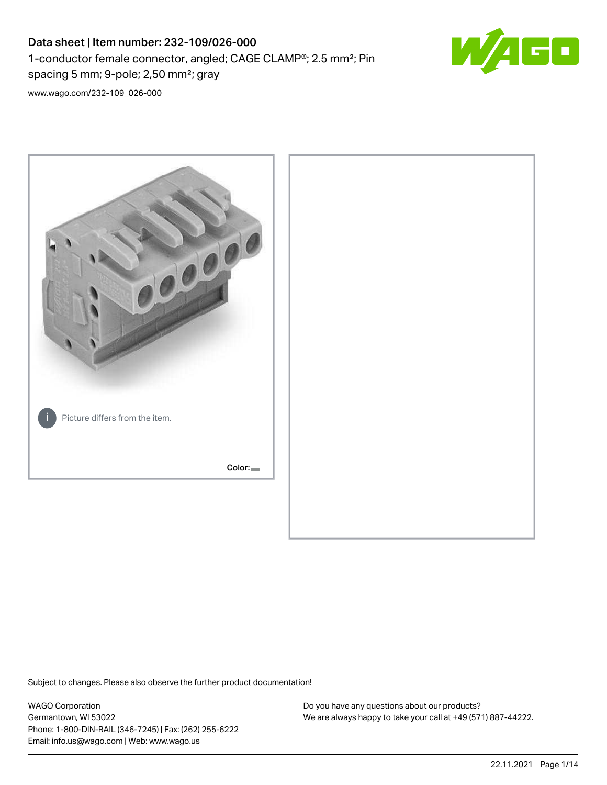# Data sheet | Item number: 232-109/026-000 1-conductor female connector, angled; CAGE CLAMP®; 2.5 mm²; Pin spacing 5 mm; 9-pole; 2,50 mm²; gray



[www.wago.com/232-109\\_026-000](http://www.wago.com/232-109_026-000)



Subject to changes. Please also observe the further product documentation!

WAGO Corporation Germantown, WI 53022 Phone: 1-800-DIN-RAIL (346-7245) | Fax: (262) 255-6222 Email: info.us@wago.com | Web: www.wago.us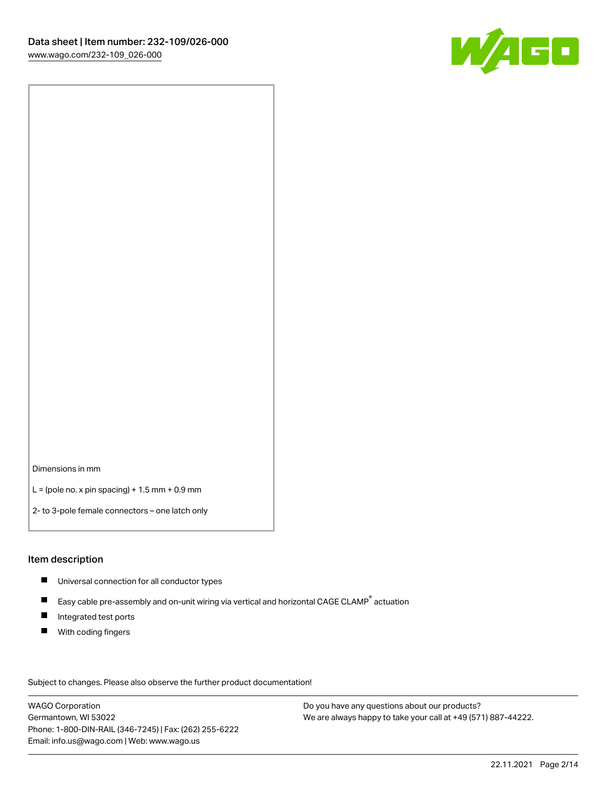

Dimensions in mm

 $L =$  (pole no. x pin spacing) + 1.5 mm + 0.9 mm

2- to 3-pole female connectors – one latch only

#### Item description

- **Universal connection for all conductor types**
- Easy cable pre-assembly and on-unit wiring via vertical and horizontal CAGE CLAMP<sup>®</sup> actuation  $\blacksquare$
- $\blacksquare$ Integrated test ports
- $\blacksquare$ With coding fingers

Subject to changes. Please also observe the further product documentation! Data

WAGO Corporation Germantown, WI 53022 Phone: 1-800-DIN-RAIL (346-7245) | Fax: (262) 255-6222 Email: info.us@wago.com | Web: www.wago.us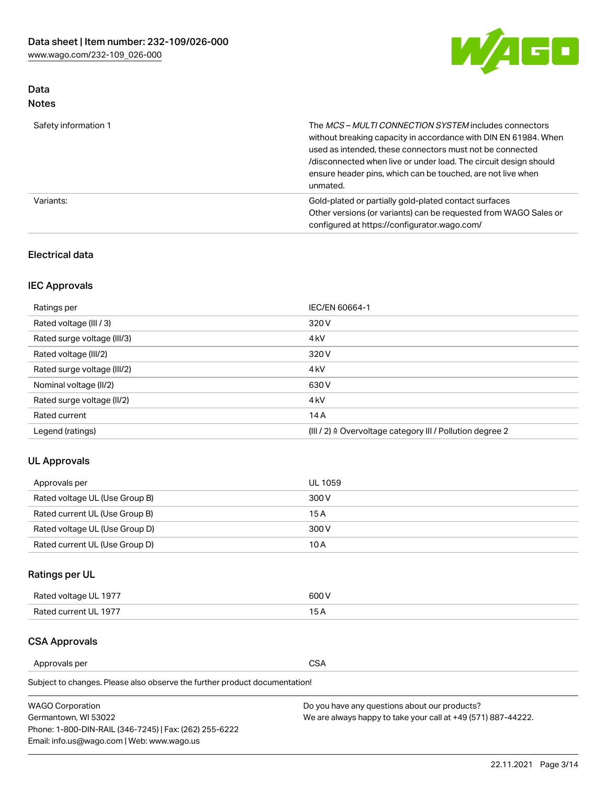

## Data Notes

| Safety information 1 | The MCS-MULTI CONNECTION SYSTEM includes connectors<br>without breaking capacity in accordance with DIN EN 61984. When<br>used as intended, these connectors must not be connected<br>/disconnected when live or under load. The circuit design should<br>ensure header pins, which can be touched, are not live when<br>unmated. |
|----------------------|-----------------------------------------------------------------------------------------------------------------------------------------------------------------------------------------------------------------------------------------------------------------------------------------------------------------------------------|
| Variants:            | Gold-plated or partially gold-plated contact surfaces<br>Other versions (or variants) can be requested from WAGO Sales or<br>configured at https://configurator.wago.com/                                                                                                                                                         |

### Electrical data

## IEC Approvals

| Ratings per                 | IEC/EN 60664-1                                                        |
|-----------------------------|-----------------------------------------------------------------------|
| Rated voltage (III / 3)     | 320 V                                                                 |
| Rated surge voltage (III/3) | 4 <sub>k</sub> V                                                      |
| Rated voltage (III/2)       | 320 V                                                                 |
| Rated surge voltage (III/2) | 4 <sub>k</sub> V                                                      |
| Nominal voltage (II/2)      | 630 V                                                                 |
| Rated surge voltage (II/2)  | 4 <sub>k</sub> V                                                      |
| Rated current               | 14A                                                                   |
| Legend (ratings)            | $(III / 2)$ $\triangle$ Overvoltage category III / Pollution degree 2 |

### UL Approvals

| Approvals per                  | UL 1059 |
|--------------------------------|---------|
| Rated voltage UL (Use Group B) | 300 V   |
| Rated current UL (Use Group B) | 15 A    |
| Rated voltage UL (Use Group D) | 300 V   |
| Rated current UL (Use Group D) | 10 A    |

# Ratings per UL

| Rated voltage UL 1977 | 300 V |
|-----------------------|-------|
| Rated current UL 1977 |       |

#### CSA Approvals

Approvals per CSA

Subject to changes. Please also observe the further product documentation!

| <b>WAGO Corporation</b>                                | Do you have any questions about our products?                 |
|--------------------------------------------------------|---------------------------------------------------------------|
| Germantown, WI 53022                                   | We are always happy to take your call at +49 (571) 887-44222. |
| Phone: 1-800-DIN-RAIL (346-7245)   Fax: (262) 255-6222 |                                                               |
| Email: info.us@wago.com   Web: www.wago.us             |                                                               |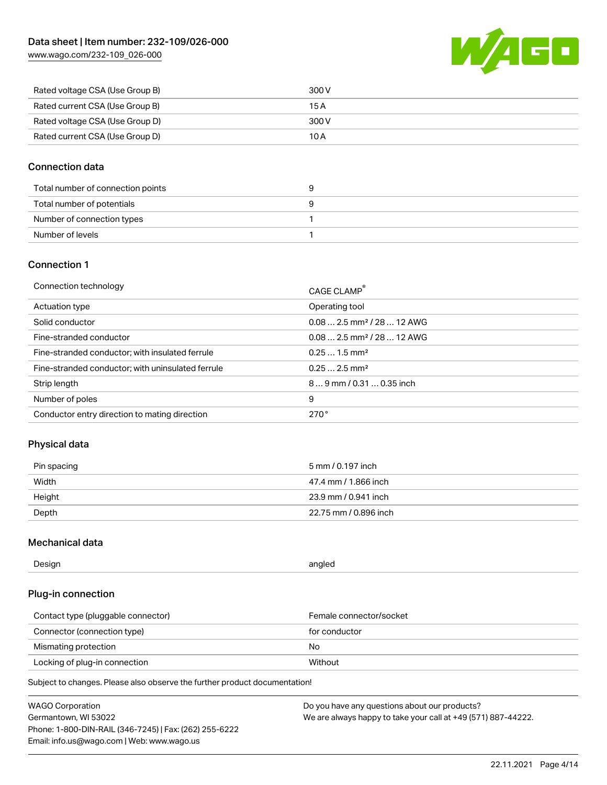[www.wago.com/232-109\\_026-000](http://www.wago.com/232-109_026-000)



| Rated voltage CSA (Use Group B) | 300 V |
|---------------------------------|-------|
| Rated current CSA (Use Group B) | 15 A  |
| Rated voltage CSA (Use Group D) | 300 V |
| Rated current CSA (Use Group D) | 10 A  |

#### Connection data

| Total number of connection points |  |
|-----------------------------------|--|
| Total number of potentials        |  |
| Number of connection types        |  |
| Number of levels                  |  |

#### Connection 1

| Connection technology                             | CAGE CLAMP®                            |
|---------------------------------------------------|----------------------------------------|
| Actuation type                                    | Operating tool                         |
| Solid conductor                                   | $0.082.5$ mm <sup>2</sup> / 28  12 AWG |
| Fine-stranded conductor                           | $0.082.5$ mm <sup>2</sup> / 28  12 AWG |
| Fine-stranded conductor; with insulated ferrule   | $0.251.5$ mm <sup>2</sup>              |
| Fine-stranded conductor; with uninsulated ferrule | $0.252.5$ mm <sup>2</sup>              |
| Strip length                                      | $89$ mm / 0.31  0.35 inch              |
| Number of poles                                   | 9                                      |
| Conductor entry direction to mating direction     | 270°                                   |

### Physical data

| Pin spacing | 5 mm / 0.197 inch     |
|-------------|-----------------------|
| Width       | 47.4 mm / 1.866 inch  |
| Height      | 23.9 mm / 0.941 inch  |
| Depth       | 22.75 mm / 0.896 inch |

#### Mechanical data

| Design<br>angled |  |
|------------------|--|
|------------------|--|

#### Plug-in connection

| Contact type (pluggable connector) | Female connector/socket |
|------------------------------------|-------------------------|
| Connector (connection type)        | for conductor           |
| Mismating protection               | No                      |
| Locking of plug-in connection      | Without                 |

Subject to changes. Please also observe the further product documentation!

| <b>WAGO Corporation</b>                                | Do you have any questions about our products?                 |
|--------------------------------------------------------|---------------------------------------------------------------|
| Germantown, WI 53022                                   | We are always happy to take your call at +49 (571) 887-44222. |
| Phone: 1-800-DIN-RAIL (346-7245)   Fax: (262) 255-6222 |                                                               |
| Email: info.us@wago.com   Web: www.wago.us             |                                                               |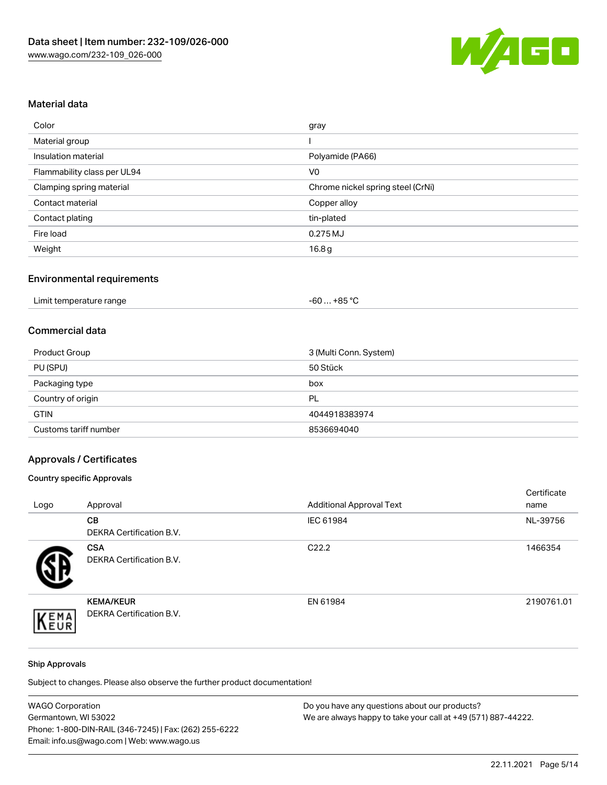

## Material data

| Color                       | gray                              |
|-----------------------------|-----------------------------------|
| Material group              |                                   |
| Insulation material         | Polyamide (PA66)                  |
| Flammability class per UL94 | V <sub>0</sub>                    |
| Clamping spring material    | Chrome nickel spring steel (CrNi) |
| Contact material            | Copper alloy                      |
| Contact plating             | tin-plated                        |
| Fire load                   | 0.275 MJ                          |
| Weight                      | 16.8 <sub>g</sub>                 |

#### Environmental requirements

| Limit temperature range<br>.<br>$\blacksquare$ . The contract of the contract of the contract of the contract of the contract of the contract of the contract of the contract of the contract of the contract of the contract of the contract of the contract of the | …+85 °ົ<br>$-60$ |  |
|----------------------------------------------------------------------------------------------------------------------------------------------------------------------------------------------------------------------------------------------------------------------|------------------|--|
|----------------------------------------------------------------------------------------------------------------------------------------------------------------------------------------------------------------------------------------------------------------------|------------------|--|

#### Commercial data

| Product Group         | 3 (Multi Conn. System) |
|-----------------------|------------------------|
| PU (SPU)              | 50 Stück               |
| Packaging type        | box                    |
| Country of origin     | PL                     |
| <b>GTIN</b>           | 4044918383974          |
| Customs tariff number | 8536694040             |

# Approvals / Certificates

#### Country specific Approvals

| Logo | Approval                                            | <b>Additional Approval Text</b> | Certificate<br>name |
|------|-----------------------------------------------------|---------------------------------|---------------------|
|      | <b>CB</b><br><b>DEKRA Certification B.V.</b>        | IEC 61984                       | NL-39756            |
|      | <b>CSA</b><br>DEKRA Certification B.V.              | C <sub>22.2</sub>               | 1466354             |
| EMA  | <b>KEMA/KEUR</b><br><b>DEKRA Certification B.V.</b> | EN 61984                        | 2190761.01          |

#### Ship Approvals

Subject to changes. Please also observe the further product documentation!

| <b>WAGO Corporation</b>                                | Do you have any questions about our products?                 |
|--------------------------------------------------------|---------------------------------------------------------------|
| Germantown, WI 53022                                   | We are always happy to take your call at +49 (571) 887-44222. |
| Phone: 1-800-DIN-RAIL (346-7245)   Fax: (262) 255-6222 |                                                               |
| Email: info.us@wago.com   Web: www.wago.us             |                                                               |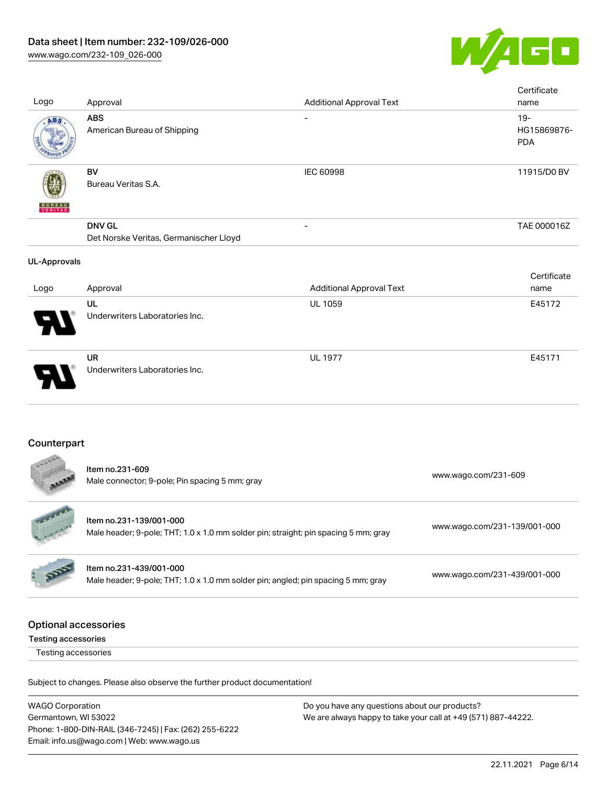

| Logo                                               | Approval                                                                                                       | <b>Additional Approval Text</b> | Certificate<br>name                 |
|----------------------------------------------------|----------------------------------------------------------------------------------------------------------------|---------------------------------|-------------------------------------|
| ABS                                                | <b>ABS</b><br>American Bureau of Shipping                                                                      |                                 | $19 -$<br>HG15869876-<br><b>PDA</b> |
|                                                    | <b>BV</b><br>Bureau Veritas S.A.                                                                               | <b>IEC 60998</b>                | 11915/D0 BV                         |
|                                                    | <b>DNV GL</b><br>Det Norske Veritas, Germanischer Lloyd                                                        |                                 | TAE 000016Z                         |
| <b>UL-Approvals</b>                                |                                                                                                                |                                 |                                     |
| Logo                                               | Approval                                                                                                       | <b>Additional Approval Text</b> | Certificate<br>name                 |
|                                                    | UL<br>Underwriters Laboratories Inc.                                                                           | UL 1059                         | E45172                              |
|                                                    | <b>UR</b><br>Underwriters Laboratories Inc.                                                                    | <b>UL 1977</b>                  | E45171                              |
| Counterpart                                        |                                                                                                                |                                 |                                     |
|                                                    | Item no.231-609<br>Male connector; 9-pole; Pin spacing 5 mm; gray                                              |                                 | www.wago.com/231-609                |
|                                                    | Item no.231-139/001-000<br>Male header; 9-pole; THT; 1.0 x 1.0 mm solder pin; straight; pin spacing 5 mm; gray |                                 | www.wago.com/231-139/001-000        |
|                                                    | Item no.231-439/001-000<br>Male header; 9-pole; THT; 1.0 x 1.0 mm solder pin; angled; pin spacing 5 mm; gray   |                                 | www.wago.com/231-439/001-000        |
| <b>Optional accessories</b><br>Testing accessories |                                                                                                                |                                 |                                     |
| Testing accessories                                |                                                                                                                |                                 |                                     |
|                                                    | Subject to changes. Please also observe the further product documentation!                                     |                                 |                                     |
|                                                    |                                                                                                                |                                 |                                     |

WAGO Corporation Germantown, WI 53022 Phone: 1-800-DIN-RAIL (346-7245) | Fax: (262) 255-6222 Email: info.us@wago.com | Web: www.wago.us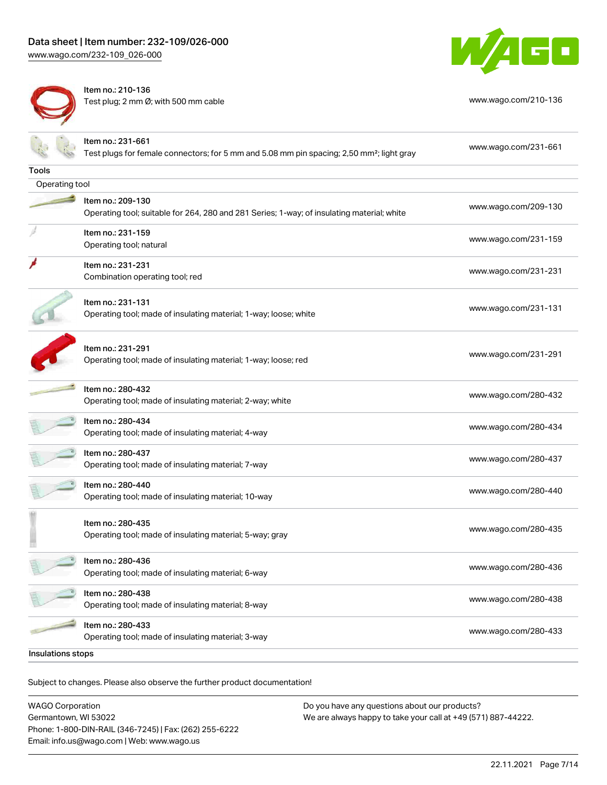[www.wago.com/232-109\\_026-000](http://www.wago.com/232-109_026-000)



Item no.: 210-136 Test plug; 2 mm Ø; with 500 mm cable [www.wago.com/210-136](http://www.wago.com/210-136)



|                   | Item no.: 231-661<br>Test plugs for female connectors; for 5 mm and 5.08 mm pin spacing; 2,50 mm <sup>2</sup> ; light gray | www.wago.com/231-661 |
|-------------------|----------------------------------------------------------------------------------------------------------------------------|----------------------|
| <b>Tools</b>      |                                                                                                                            |                      |
| Operating tool    |                                                                                                                            |                      |
|                   | Item no.: 209-130<br>Operating tool; suitable for 264, 280 and 281 Series; 1-way; of insulating material; white            | www.wago.com/209-130 |
|                   | Item no.: 231-159<br>Operating tool; natural                                                                               | www.wago.com/231-159 |
|                   | Item no.: 231-231<br>Combination operating tool; red                                                                       | www.wago.com/231-231 |
|                   | Item no.: 231-131<br>Operating tool; made of insulating material; 1-way; loose; white                                      | www.wago.com/231-131 |
|                   | Item no.: 231-291<br>Operating tool; made of insulating material; 1-way; loose; red                                        | www.wago.com/231-291 |
|                   | Item no.: 280-432<br>Operating tool; made of insulating material; 2-way; white                                             | www.wago.com/280-432 |
|                   | Item no.: 280-434<br>Operating tool; made of insulating material; 4-way                                                    | www.wago.com/280-434 |
|                   | Item no.: 280-437<br>Operating tool; made of insulating material; 7-way                                                    | www.wago.com/280-437 |
|                   | Item no.: 280-440<br>Operating tool; made of insulating material; 10-way                                                   | www.wago.com/280-440 |
|                   | Item no.: 280-435<br>Operating tool; made of insulating material; 5-way; gray                                              | www.wago.com/280-435 |
|                   | Item no.: 280-436<br>Operating tool; made of insulating material; 6-way                                                    | www.wago.com/280-436 |
|                   | Item no.: 280-438<br>Operating tool; made of insulating material; 8-way                                                    | www.wago.com/280-438 |
|                   | Item no.: 280-433<br>Operating tool; made of insulating material; 3-way                                                    | www.wago.com/280-433 |
| Insulations stops |                                                                                                                            |                      |

.<br>Subject to changes. Please also observe the further product documentation!

WAGO Corporation Germantown, WI 53022 Phone: 1-800-DIN-RAIL (346-7245) | Fax: (262) 255-6222 Email: info.us@wago.com | Web: www.wago.us Do you have any questions about our products? We are always happy to take your call at +49 (571) 887-44222.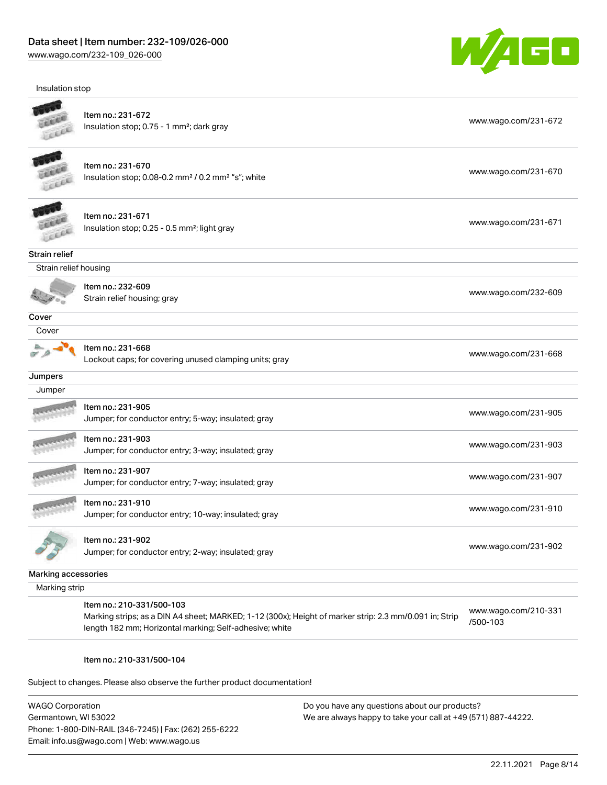Insulation stop



|                       | Item no.: 231-672<br>Insulation stop; 0.75 - 1 mm <sup>2</sup> ; dark gray                                                                                                                     | www.wago.com/231-672             |
|-----------------------|------------------------------------------------------------------------------------------------------------------------------------------------------------------------------------------------|----------------------------------|
|                       | Item no.: 231-670<br>Insulation stop; 0.08-0.2 mm <sup>2</sup> / 0.2 mm <sup>2</sup> "s"; white                                                                                                | www.wago.com/231-670             |
|                       | Item no.: 231-671<br>Insulation stop; 0.25 - 0.5 mm <sup>2</sup> ; light gray                                                                                                                  | www.wago.com/231-671             |
| Strain relief         |                                                                                                                                                                                                |                                  |
| Strain relief housing |                                                                                                                                                                                                |                                  |
|                       | Item no.: 232-609<br>Strain relief housing; gray                                                                                                                                               | www.wago.com/232-609             |
| Cover                 |                                                                                                                                                                                                |                                  |
| Cover                 |                                                                                                                                                                                                |                                  |
|                       | Item no.: 231-668<br>Lockout caps; for covering unused clamping units; gray                                                                                                                    | www.wago.com/231-668             |
| Jumpers               |                                                                                                                                                                                                |                                  |
| Jumper                |                                                                                                                                                                                                |                                  |
|                       | Item no.: 231-905<br>Jumper; for conductor entry; 5-way; insulated; gray                                                                                                                       | www.wago.com/231-905             |
|                       | Item no.: 231-903<br>Jumper; for conductor entry; 3-way; insulated; gray                                                                                                                       | www.wago.com/231-903             |
|                       | Item no.: 231-907<br>Jumper; for conductor entry; 7-way; insulated; gray                                                                                                                       | www.wago.com/231-907             |
|                       | Item no.: 231-910<br>Jumper; for conductor entry; 10-way; insulated; gray                                                                                                                      | www.wago.com/231-910             |
|                       | Item no.: 231-902<br>Jumper; for conductor entry; 2-way; insulated; gray                                                                                                                       | www.wago.com/231-902             |
| Marking accessories   |                                                                                                                                                                                                |                                  |
| Marking strip         |                                                                                                                                                                                                |                                  |
|                       | Item no.: 210-331/500-103<br>Marking strips; as a DIN A4 sheet; MARKED; 1-12 (300x); Height of marker strip: 2.3 mm/0.091 in; Strip<br>length 182 mm; Horizontal marking; Self-adhesive; white | www.wago.com/210-331<br>/500-103 |

#### Item no.: 210-331/500-104

Subject to changes. Please also observe the further product documentation!

WAGO Corporation Germantown, WI 53022 Phone: 1-800-DIN-RAIL (346-7245) | Fax: (262) 255-6222 Email: info.us@wago.com | Web: www.wago.us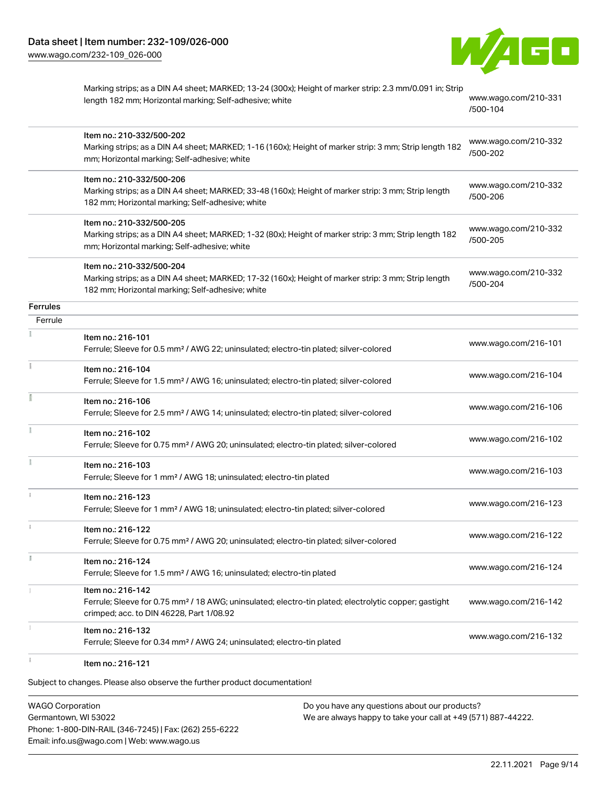

Marking strips; as a DIN A4 sheet; MARKED; 13-24 (300x); Height of marker strip: 2.3 mm/0.091 in; Strip length 182 mm; Horizontal marking; Self-adhesive; white [www.wago.com/210-331](http://www.wago.com/210-331/500-104)

[/500-104](http://www.wago.com/210-331/500-104)

|                 | Item no.: 210-332/500-202<br>Marking strips; as a DIN A4 sheet; MARKED; 1-16 (160x); Height of marker strip: 3 mm; Strip length 182<br>mm; Horizontal marking; Self-adhesive; white  | www.wago.com/210-332<br>/500-202 |
|-----------------|--------------------------------------------------------------------------------------------------------------------------------------------------------------------------------------|----------------------------------|
|                 | Item no.: 210-332/500-206<br>Marking strips; as a DIN A4 sheet; MARKED; 33-48 (160x); Height of marker strip: 3 mm; Strip length<br>182 mm; Horizontal marking; Self-adhesive; white | www.wago.com/210-332<br>/500-206 |
|                 | Item no.: 210-332/500-205<br>Marking strips; as a DIN A4 sheet; MARKED; 1-32 (80x); Height of marker strip: 3 mm; Strip length 182<br>mm; Horizontal marking; Self-adhesive; white   | www.wago.com/210-332<br>/500-205 |
|                 | Item no.: 210-332/500-204<br>Marking strips; as a DIN A4 sheet; MARKED; 17-32 (160x); Height of marker strip: 3 mm; Strip length<br>182 mm; Horizontal marking; Self-adhesive; white | www.wago.com/210-332<br>/500-204 |
| <b>Ferrules</b> |                                                                                                                                                                                      |                                  |
| Ferrule         |                                                                                                                                                                                      |                                  |
|                 | Item no.: 216-101<br>Ferrule; Sleeve for 0.5 mm <sup>2</sup> / AWG 22; uninsulated; electro-tin plated; silver-colored                                                               | www.wago.com/216-101             |
| Ť.              | Item no.: 216-104<br>Ferrule; Sleeve for 1.5 mm <sup>2</sup> / AWG 16; uninsulated; electro-tin plated; silver-colored                                                               | www.wago.com/216-104             |
|                 | Item no.: 216-106<br>Ferrule; Sleeve for 2.5 mm <sup>2</sup> / AWG 14; uninsulated; electro-tin plated; silver-colored                                                               | www.wago.com/216-106             |
| ž.              | Item no.: 216-102<br>Ferrule; Sleeve for 0.75 mm <sup>2</sup> / AWG 20; uninsulated; electro-tin plated; silver-colored                                                              | www.wago.com/216-102             |
| Ĭ.              | Item no.: 216-103<br>Ferrule; Sleeve for 1 mm <sup>2</sup> / AWG 18; uninsulated; electro-tin plated                                                                                 | www.wago.com/216-103             |
|                 | Item no.: 216-123<br>Ferrule; Sleeve for 1 mm <sup>2</sup> / AWG 18; uninsulated; electro-tin plated; silver-colored                                                                 | www.wago.com/216-123             |
|                 | Item no.: 216-122<br>Ferrule; Sleeve for 0.75 mm <sup>2</sup> / AWG 20; uninsulated; electro-tin plated; silver-colored                                                              | www.wago.com/216-122             |
| I.              | Item no.: 216-124<br>Ferrule; Sleeve for 1.5 mm <sup>2</sup> / AWG 16; uninsulated; electro-tin plated                                                                               | www.wago.com/216-124             |
|                 | Item no.: 216-142<br>Ferrule; Sleeve for 0.75 mm <sup>2</sup> / 18 AWG; uninsulated; electro-tin plated; electrolytic copper; gastight<br>crimped; acc. to DIN 46228, Part 1/08.92   | www.wago.com/216-142             |
|                 | Item no.: 216-132<br>Ferrule; Sleeve for 0.34 mm <sup>2</sup> / AWG 24; uninsulated; electro-tin plated                                                                              | www.wago.com/216-132             |
|                 | Item no.: 216-121                                                                                                                                                                    |                                  |

Subject to changes. Please also observe the further product documentation!

WAGO Corporation Germantown, WI 53022 Phone: 1-800-DIN-RAIL (346-7245) | Fax: (262) 255-6222 Email: info.us@wago.com | Web: www.wago.us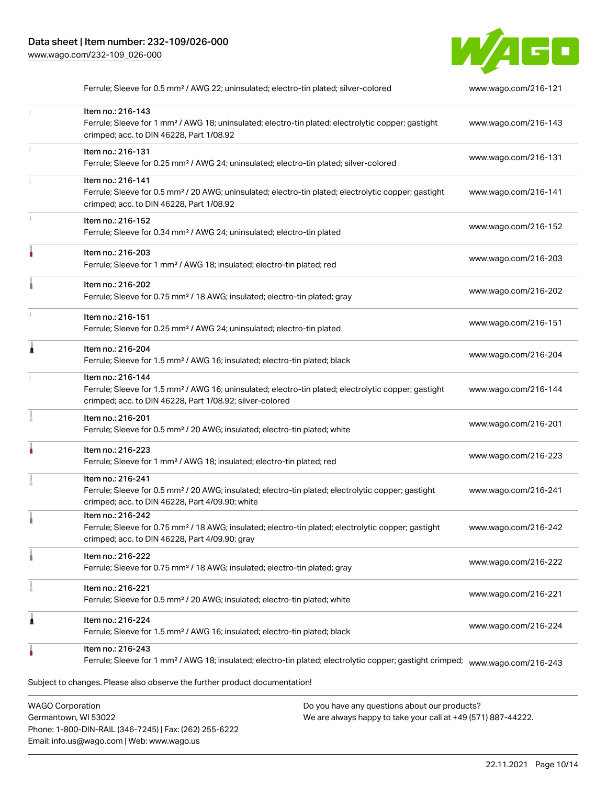

|   | Ferrule; Sleeve for 0.5 mm <sup>2</sup> / AWG 22; uninsulated; electro-tin plated; silver-colored                                                                                                 | www.wago.com/216-121 |
|---|---------------------------------------------------------------------------------------------------------------------------------------------------------------------------------------------------|----------------------|
|   | Item no.: 216-143<br>Ferrule; Sleeve for 1 mm <sup>2</sup> / AWG 18; uninsulated; electro-tin plated; electrolytic copper; gastight<br>crimped; acc. to DIN 46228, Part 1/08.92                   | www.wago.com/216-143 |
|   | Item no.: 216-131<br>Ferrule; Sleeve for 0.25 mm <sup>2</sup> / AWG 24; uninsulated; electro-tin plated; silver-colored                                                                           | www.wago.com/216-131 |
|   | Item no.: 216-141<br>Ferrule; Sleeve for 0.5 mm <sup>2</sup> / 20 AWG; uninsulated; electro-tin plated; electrolytic copper; gastight<br>crimped; acc. to DIN 46228, Part 1/08.92                 | www.wago.com/216-141 |
|   | Item no.: 216-152<br>Ferrule; Sleeve for 0.34 mm <sup>2</sup> / AWG 24; uninsulated; electro-tin plated                                                                                           | www.wago.com/216-152 |
|   | Item no.: 216-203<br>Ferrule; Sleeve for 1 mm <sup>2</sup> / AWG 18; insulated; electro-tin plated; red                                                                                           | www.wago.com/216-203 |
|   | Item no.: 216-202<br>Ferrule; Sleeve for 0.75 mm <sup>2</sup> / 18 AWG; insulated; electro-tin plated; gray                                                                                       | www.wago.com/216-202 |
|   | Item no.: 216-151<br>Ferrule; Sleeve for 0.25 mm <sup>2</sup> / AWG 24; uninsulated; electro-tin plated                                                                                           | www.wago.com/216-151 |
|   | Item no.: 216-204<br>Ferrule; Sleeve for 1.5 mm <sup>2</sup> / AWG 16; insulated; electro-tin plated; black                                                                                       | www.wago.com/216-204 |
|   | Item no.: 216-144<br>Ferrule; Sleeve for 1.5 mm <sup>2</sup> / AWG 16; uninsulated; electro-tin plated; electrolytic copper; gastight<br>crimped; acc. to DIN 46228, Part 1/08.92; silver-colored | www.wago.com/216-144 |
|   | Item no.: 216-201<br>Ferrule; Sleeve for 0.5 mm <sup>2</sup> / 20 AWG; insulated; electro-tin plated; white                                                                                       | www.wago.com/216-201 |
|   | Item no.: 216-223<br>Ferrule; Sleeve for 1 mm <sup>2</sup> / AWG 18; insulated; electro-tin plated; red                                                                                           | www.wago.com/216-223 |
|   | Item no.: 216-241<br>Ferrule; Sleeve for 0.5 mm <sup>2</sup> / 20 AWG; insulated; electro-tin plated; electrolytic copper; gastight<br>crimped; acc. to DIN 46228, Part 4/09.90; white            | www.wago.com/216-241 |
|   | Item no.: 216-242<br>Ferrule; Sleeve for 0.75 mm <sup>2</sup> / 18 AWG; insulated; electro-tin plated; electrolytic copper; gastight<br>crimped; acc. to DIN 46228, Part 4/09.90; gray            | www.wago.com/216-242 |
|   | Item no.: 216-222<br>Ferrule; Sleeve for 0.75 mm <sup>2</sup> / 18 AWG; insulated; electro-tin plated; gray                                                                                       | www.wago.com/216-222 |
|   | Item no.: 216-221<br>Ferrule; Sleeve for 0.5 mm <sup>2</sup> / 20 AWG; insulated; electro-tin plated; white                                                                                       | www.wago.com/216-221 |
| 1 | Item no.: 216-224<br>Ferrule; Sleeve for 1.5 mm <sup>2</sup> / AWG 16; insulated; electro-tin plated; black                                                                                       | www.wago.com/216-224 |
|   | Item no.: 216-243<br>Ferrule; Sleeve for 1 mm <sup>2</sup> / AWG 18; insulated; electro-tin plated; electrolytic copper; gastight crimped;                                                        | www.wago.com/216-243 |
|   | Subject to changes. Please also observe the further product documentation!                                                                                                                        |                      |

WAGO Corporation Germantown, WI 53022 Phone: 1-800-DIN-RAIL (346-7245) | Fax: (262) 255-6222 Email: info.us@wago.com | Web: www.wago.us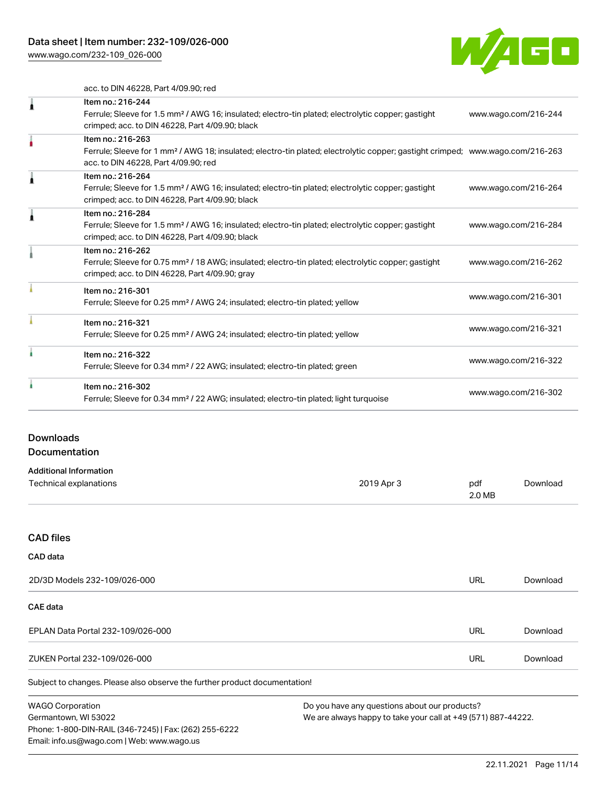[www.wago.com/232-109\\_026-000](http://www.wago.com/232-109_026-000)



acc. to DIN 46228, Part 4/09.90; red

| Item no.: 216-244                                                                                                                          |                      |
|--------------------------------------------------------------------------------------------------------------------------------------------|----------------------|
| Ferrule; Sleeve for 1.5 mm <sup>2</sup> / AWG 16; insulated; electro-tin plated; electrolytic copper; gastight                             | www.wago.com/216-244 |
| crimped; acc. to DIN 46228, Part 4/09.90; black                                                                                            |                      |
| Item no.: 216-263                                                                                                                          |                      |
| Ferrule; Sleeve for 1 mm <sup>2</sup> / AWG 18; insulated; electro-tin plated; electrolytic copper; gastight crimped; www.wago.com/216-263 |                      |
| acc. to DIN 46228, Part 4/09.90; red                                                                                                       |                      |
| Item no.: 216-264                                                                                                                          |                      |
| Ferrule; Sleeve for 1.5 mm <sup>2</sup> / AWG 16; insulated; electro-tin plated; electrolytic copper; gastight                             | www.wago.com/216-264 |
| crimped; acc. to DIN 46228, Part 4/09.90; black                                                                                            |                      |
| Item no.: 216-284                                                                                                                          |                      |
| Ferrule; Sleeve for 1.5 mm <sup>2</sup> / AWG 16; insulated; electro-tin plated; electrolytic copper; gastight                             | www.wago.com/216-284 |
| crimped; acc. to DIN 46228, Part 4/09.90; black                                                                                            |                      |
| Item no.: 216-262                                                                                                                          |                      |
| Ferrule; Sleeve for 0.75 mm <sup>2</sup> / 18 AWG; insulated; electro-tin plated; electrolytic copper; gastight                            | www.wago.com/216-262 |
| crimped; acc. to DIN 46228, Part 4/09.90; gray                                                                                             |                      |
| Item no.: 216-301                                                                                                                          |                      |
| Ferrule; Sleeve for 0.25 mm <sup>2</sup> / AWG 24; insulated; electro-tin plated; yellow                                                   | www.wago.com/216-301 |
| Item no.: 216-321                                                                                                                          |                      |
| Ferrule; Sleeve for 0.25 mm <sup>2</sup> / AWG 24; insulated; electro-tin plated; yellow                                                   | www.wago.com/216-321 |
| Item no.: 216-322                                                                                                                          |                      |
| Ferrule; Sleeve for 0.34 mm <sup>2</sup> / 22 AWG; insulated; electro-tin plated; green                                                    | www.wago.com/216-322 |
| Item no.: 216-302                                                                                                                          |                      |
| Ferrule; Sleeve for 0.34 mm <sup>2</sup> / 22 AWG; insulated; electro-tin plated; light turquoise                                          | www.wago.com/216-302 |
|                                                                                                                                            |                      |

# Downloads

# Documentation

| <b>Additional Information</b> |            |        |          |
|-------------------------------|------------|--------|----------|
| Technical explanations        | 2019 Apr 3 | pdf    | Download |
|                               |            | 2.0 MB |          |

#### CAD files

# Subject to changes. Please also observe the further product documentation! CAD data 2D/3D Models 232-109/026-000 URL [Download](https://www.wago.com/global/d/3D_URLS_232-109_026-000) CAE data EPLAN Data Portal 232-109/026-000 URL [Download](https://www.wago.com/global/d/EPLAN_URLS_232-109%252F026-000) ZUKEN Portal 232-109/026-000 URL [Download](https://www.wago.com/global/d/Zuken_URLS_232-109_026-000)

WAGO Corporation Germantown, WI 53022 Phone: 1-800-DIN-RAIL (346-7245) | Fax: (262) 255-6222 Email: info.us@wago.com | Web: www.wago.us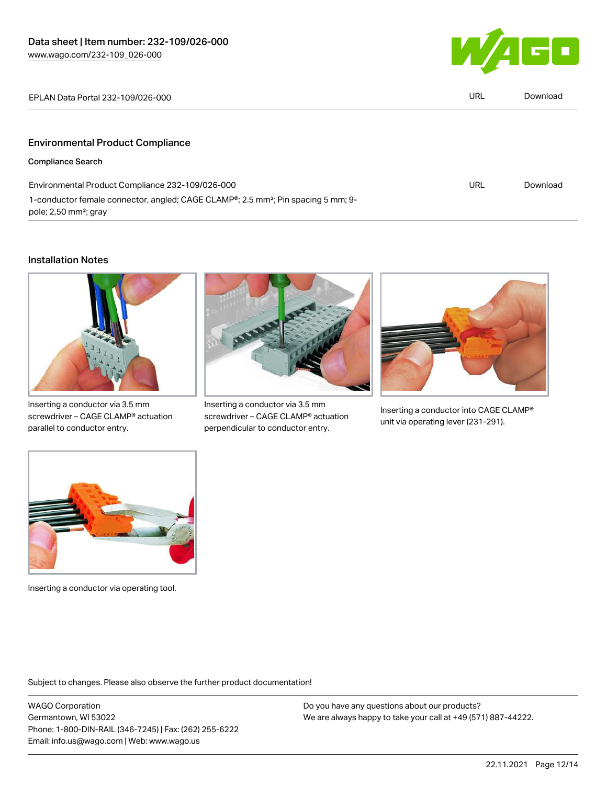

| EPLAN Data Portal 232-109/026-000 | url | Download |
|-----------------------------------|-----|----------|
|-----------------------------------|-----|----------|

## Environmental Product Compliance

Compliance Search

| Environmental Product Compliance 232-109/026-000                                                           | URL | Download |
|------------------------------------------------------------------------------------------------------------|-----|----------|
| 1-conductor female connector, angled; CAGE CLAMP <sup>®</sup> ; 2.5 mm <sup>2</sup> ; Pin spacing 5 mm; 9- |     |          |
| pole; 2,50 mm <sup>2</sup> ; gray                                                                          |     |          |

#### Installation Notes



Inserting a conductor via 3.5 mm screwdriver – CAGE CLAMP® actuation parallel to conductor entry.



Inserting a conductor via 3.5 mm screwdriver – CAGE CLAMP® actuation perpendicular to conductor entry.



Inserting a conductor into CAGE CLAMP® unit via operating lever (231-291).



Inserting a conductor via operating tool.

Subject to changes. Please also observe the further product documentation!

WAGO Corporation Germantown, WI 53022 Phone: 1-800-DIN-RAIL (346-7245) | Fax: (262) 255-6222 Email: info.us@wago.com | Web: www.wago.us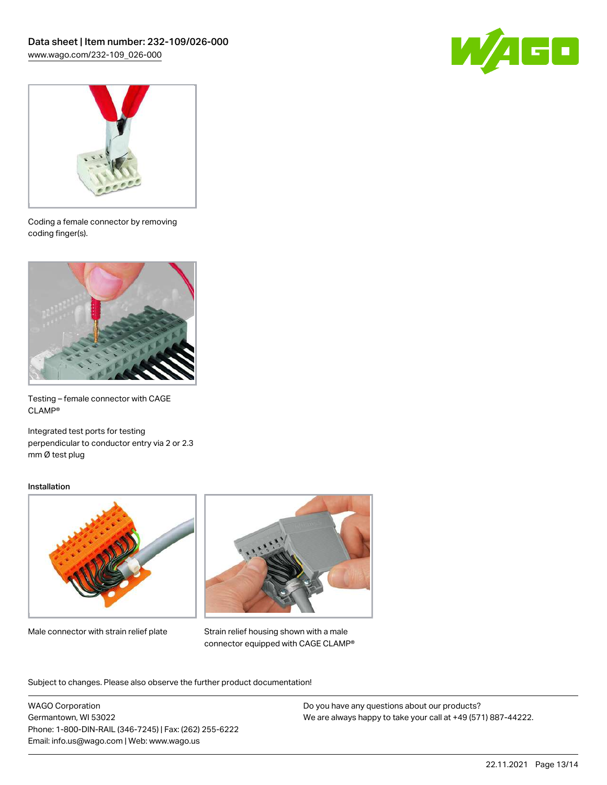



Coding a female connector by removing coding finger(s).



Testing – female connector with CAGE CLAMP®

Integrated test ports for testing perpendicular to conductor entry via 2 or 2.3 mm Ø test plug

#### Installation



Male connector with strain relief plate



Strain relief housing shown with a male connector equipped with CAGE CLAMP®

Subject to changes. Please also observe the further product documentation!

WAGO Corporation Germantown, WI 53022 Phone: 1-800-DIN-RAIL (346-7245) | Fax: (262) 255-6222 Email: info.us@wago.com | Web: www.wago.us